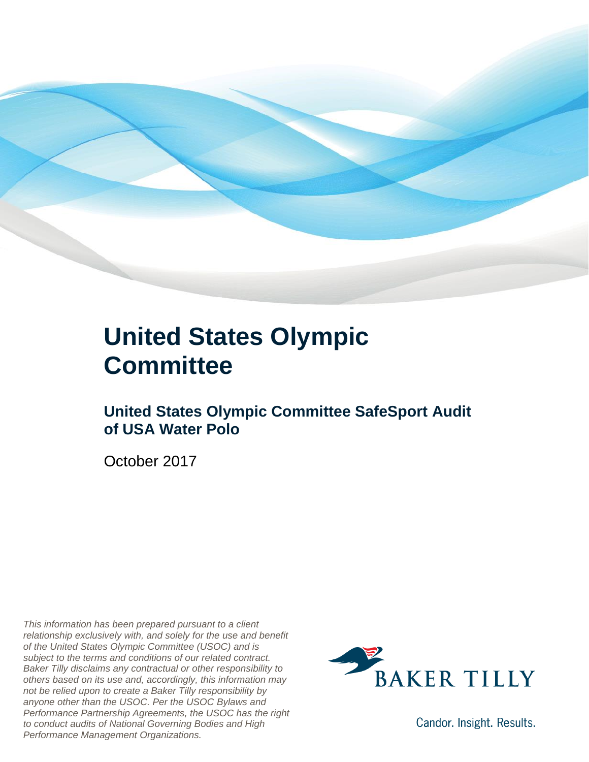

### **United States Olympic Committee**

#### **United States Olympic Committee SafeSport Audit of USA Water Polo**

October 2017

*This information has been prepared pursuant to a client relationship exclusively with, and solely for the use and benefit of the United States Olympic Committee (USOC) and is subject to the terms and conditions of our related contract. Baker Tilly disclaims any contractual or other responsibility to others based on its use and, accordingly, this information may not be relied upon to create a Baker Tilly responsibility by anyone other than the USOC. Per the USOC Bylaws and Performance Partnership Agreements, the USOC has the right to conduct audits of National Governing Bodies and High Performance Management Organizations.*



Candor. Insight. Results.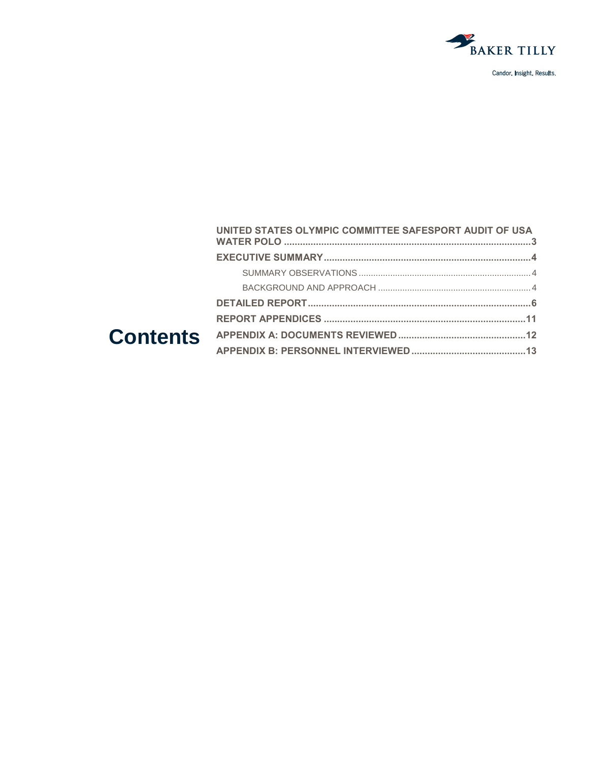

| UNITED STATES OLYMPIC COMMITTEE SAFESPORT AUDIT OF USA |  |
|--------------------------------------------------------|--|
|                                                        |  |
|                                                        |  |
|                                                        |  |
|                                                        |  |
|                                                        |  |
|                                                        |  |
|                                                        |  |
|                                                        |  |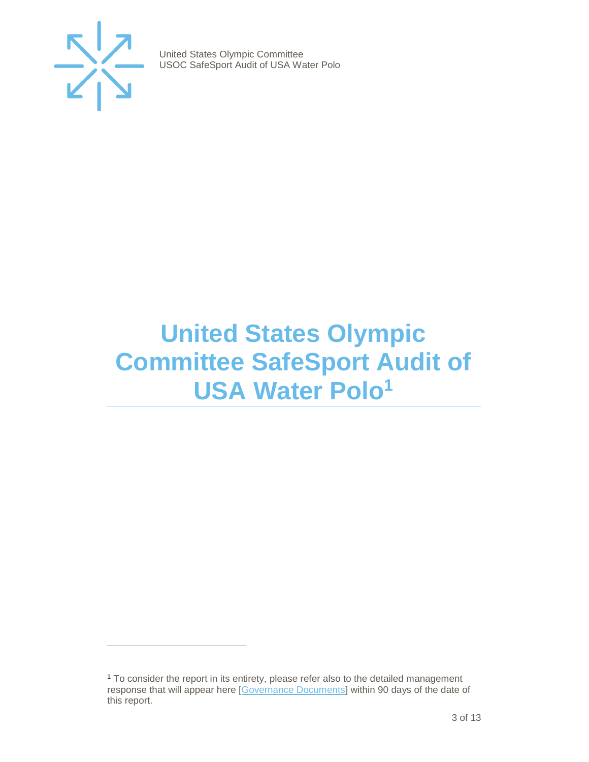

 $\overline{a}$ 

United States Olympic Committee USOC SafeSport Audit of USA Water Polo

## <span id="page-2-0"></span>**United States Olympic Committee SafeSport Audit of USA Water Polo<sup>1</sup>**

<sup>1</sup> To consider the report in its entirety, please refer also to the detailed management response that will appear here [\[Governance Documents\]](https://www.teamusa.org/Footer/Legal/Governance-Documents) within 90 days of the date of this report.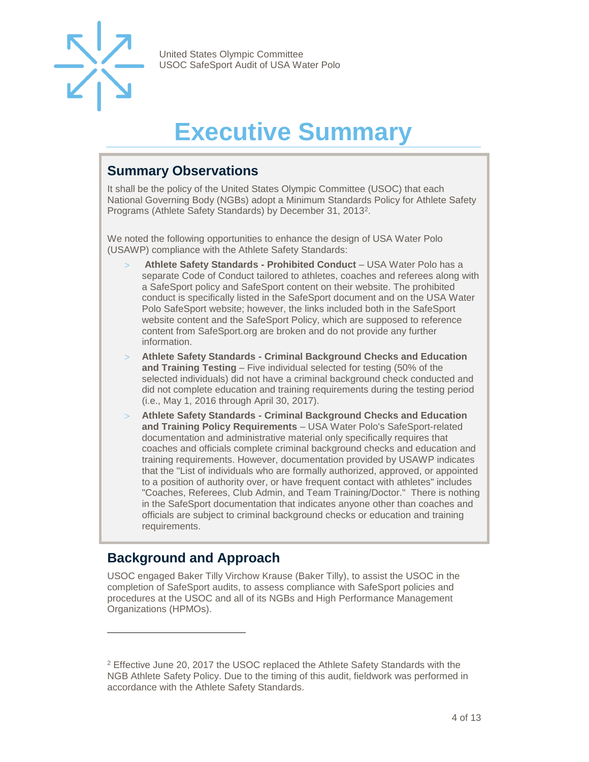

## **Executive Summary**

#### <span id="page-3-1"></span><span id="page-3-0"></span>**Summary Observations**

It shall be the policy of the United States Olympic Committee (USOC) that each National Governing Body (NGBs) adopt a Minimum Standards Policy for Athlete Safety Programs (Athlete Safety Standards) by December 31, 2013<sup>2</sup>.

We noted the following opportunities to enhance the design of USA Water Polo (USAWP) compliance with the Athlete Safety Standards:

- **Athlete Safety Standards - Prohibited Conduct**  USA Water Polo has a separate Code of Conduct tailored to athletes, coaches and referees along with a SafeSport policy and SafeSport content on their website. The prohibited conduct is specifically listed in the SafeSport document and on the USA Water Polo SafeSport website; however, the links included both in the SafeSport website content and the SafeSport Policy, which are supposed to reference content from SafeSport.org are broken and do not provide any further information.
- **Athlete Safety Standards - Criminal Background Checks and Education and Training Testing** – Five individual selected for testing (50% of the selected individuals) did not have a criminal background check conducted and did not complete education and training requirements during the testing period (i.e., May 1, 2016 through April 30, 2017).
- **Athlete Safety Standards - Criminal Background Checks and Education and Training Policy Requirements** – USA Water Polo's SafeSport-related documentation and administrative material only specifically requires that coaches and officials complete criminal background checks and education and training requirements. However, documentation provided by USAWP indicates that the "List of individuals who are formally authorized, approved, or appointed to a position of authority over, or have frequent contact with athletes" includes "Coaches, Referees, Club Admin, and Team Training/Doctor." There is nothing in the SafeSport documentation that indicates anyone other than coaches and officials are subject to criminal background checks or education and training requirements.

#### <span id="page-3-2"></span>**Background and Approach**

 $\overline{a}$ 

<span id="page-3-3"></span>USOC engaged Baker Tilly Virchow Krause (Baker Tilly), to assist the USOC in the completion of SafeSport audits, to assess compliance with SafeSport policies and procedures at the USOC and all of its NGBs and High Performance Management Organizations (HPMOs).

<sup>2</sup> Effective June 20, 2017 the USOC replaced the Athlete Safety Standards with the NGB Athlete Safety Policy. Due to the timing of this audit, fieldwork was performed in accordance with the Athlete Safety Standards.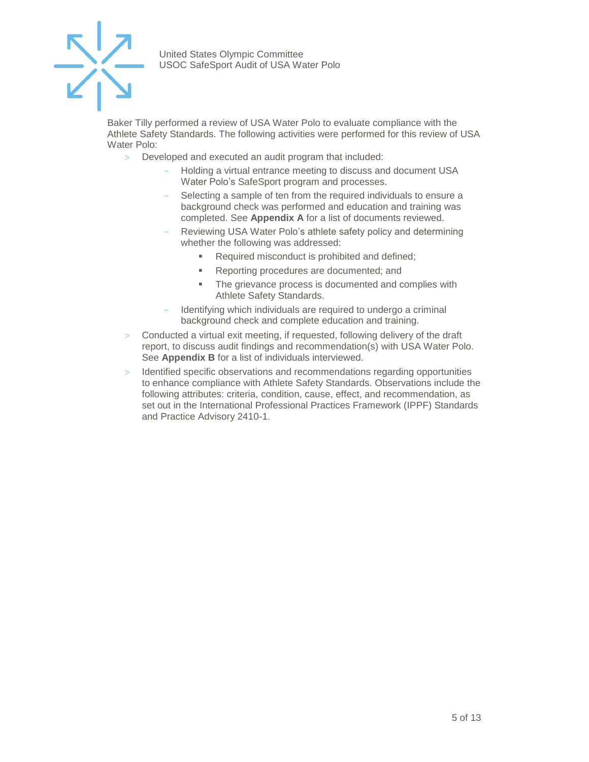

Baker Tilly performed a review of USA Water Polo to evaluate compliance with the Athlete Safety Standards. The following activities were performed for this review of USA Water Polo:

- Developed and executed an audit program that included:
	- Holding a virtual entrance meeting to discuss and document USA Water Polo's SafeSport program and processes.
	- Selecting a sample of ten from the required individuals to ensure a background check was performed and education and training was completed. See **Appendix A** for a list of documents reviewed.
	- Reviewing USA Water Polo's athlete safety policy and determining whether the following was addressed:
		- Required misconduct is prohibited and defined;
		- Reporting procedures are documented; and
		- The grievance process is documented and complies with Athlete Safety Standards.
	- Identifying which individuals are required to undergo a criminal background check and complete education and training.
- $>$  Conducted a virtual exit meeting, if requested, following delivery of the draft report, to discuss audit findings and recommendation(s) with USA Water Polo. See **Appendix B** for a list of individuals interviewed.
- Identified specific observations and recommendations regarding opportunities to enhance compliance with Athlete Safety Standards. Observations include the following attributes: criteria, condition, cause, effect, and recommendation, as set out in the International Professional Practices Framework (IPPF) Standards and Practice Advisory 2410-1.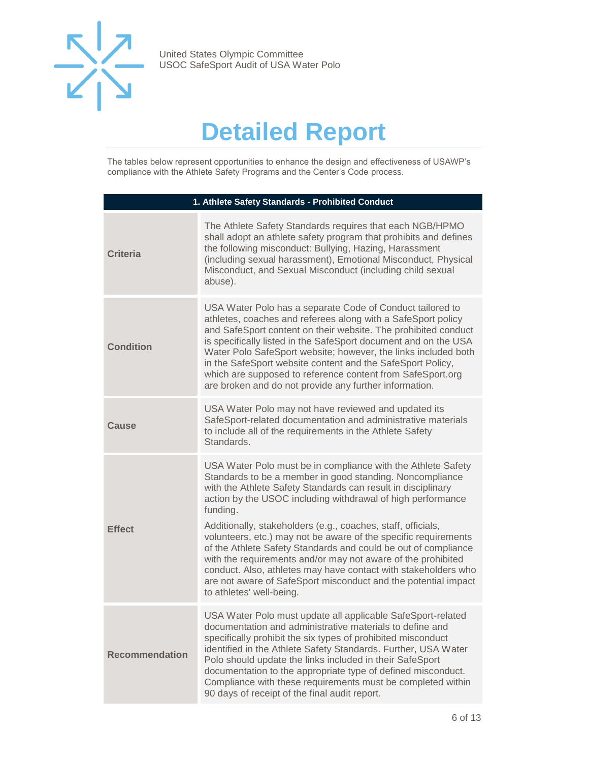

## **Detailed Report**

The tables below represent opportunities to enhance the design and effectiveness of USAWP's compliance with the Athlete Safety Programs and the Center's Code process.

| 1. Athlete Safety Standards - Prohibited Conduct |                                                                                                                                                                                                                                                                                                                                                                                                                                                                                                                                                                                                                                                                                                          |  |
|--------------------------------------------------|----------------------------------------------------------------------------------------------------------------------------------------------------------------------------------------------------------------------------------------------------------------------------------------------------------------------------------------------------------------------------------------------------------------------------------------------------------------------------------------------------------------------------------------------------------------------------------------------------------------------------------------------------------------------------------------------------------|--|
| <b>Criteria</b>                                  | The Athlete Safety Standards requires that each NGB/HPMO<br>shall adopt an athlete safety program that prohibits and defines<br>the following misconduct: Bullying, Hazing, Harassment<br>(including sexual harassment), Emotional Misconduct, Physical<br>Misconduct, and Sexual Misconduct (including child sexual<br>abuse).                                                                                                                                                                                                                                                                                                                                                                          |  |
| <b>Condition</b>                                 | USA Water Polo has a separate Code of Conduct tailored to<br>athletes, coaches and referees along with a SafeSport policy<br>and SafeSport content on their website. The prohibited conduct<br>is specifically listed in the SafeSport document and on the USA<br>Water Polo SafeSport website; however, the links included both<br>in the SafeSport website content and the SafeSport Policy,<br>which are supposed to reference content from SafeSport.org<br>are broken and do not provide any further information.                                                                                                                                                                                   |  |
| Cause                                            | USA Water Polo may not have reviewed and updated its<br>SafeSport-related documentation and administrative materials<br>to include all of the requirements in the Athlete Safety<br>Standards.                                                                                                                                                                                                                                                                                                                                                                                                                                                                                                           |  |
| <b>Effect</b>                                    | USA Water Polo must be in compliance with the Athlete Safety<br>Standards to be a member in good standing. Noncompliance<br>with the Athlete Safety Standards can result in disciplinary<br>action by the USOC including withdrawal of high performance<br>funding.<br>Additionally, stakeholders (e.g., coaches, staff, officials,<br>volunteers, etc.) may not be aware of the specific requirements<br>of the Athlete Safety Standards and could be out of compliance<br>with the requirements and/or may not aware of the prohibited<br>conduct. Also, athletes may have contact with stakeholders who<br>are not aware of SafeSport misconduct and the potential impact<br>to athletes' well-being. |  |
| <b>Recommendation</b>                            | USA Water Polo must update all applicable SafeSport-related<br>documentation and administrative materials to define and<br>specifically prohibit the six types of prohibited misconduct<br>identified in the Athlete Safety Standards. Further, USA Water<br>Polo should update the links included in their SafeSport<br>documentation to the appropriate type of defined misconduct.<br>Compliance with these requirements must be completed within<br>90 days of receipt of the final audit report.                                                                                                                                                                                                    |  |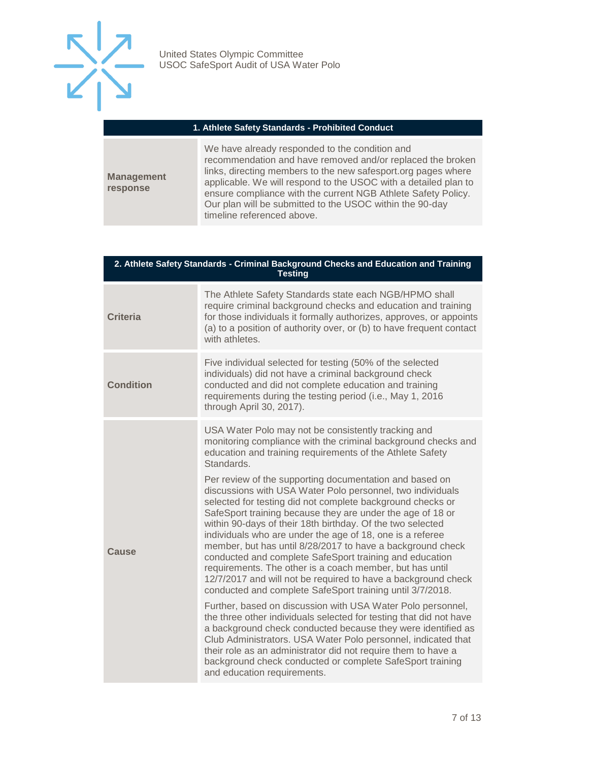

#### **1. Athlete Safety Standards - Prohibited Conduct**

**Management response**

We have already responded to the condition and recommendation and have removed and/or replaced the broken links, directing members to the new safesport.org pages where applicable. We will respond to the USOC with a detailed plan to ensure compliance with the current NGB Athlete Safety Policy. Our plan will be submitted to the USOC within the 90-day timeline referenced above.

| 2. Athlete Safety Standards - Criminal Background Checks and Education and Training<br><b>Testing</b> |                                                                                                                                                                                                                                                                                                                                                                                                                                                                                                                                                                                                                                                                                                 |  |
|-------------------------------------------------------------------------------------------------------|-------------------------------------------------------------------------------------------------------------------------------------------------------------------------------------------------------------------------------------------------------------------------------------------------------------------------------------------------------------------------------------------------------------------------------------------------------------------------------------------------------------------------------------------------------------------------------------------------------------------------------------------------------------------------------------------------|--|
| <b>Criteria</b>                                                                                       | The Athlete Safety Standards state each NGB/HPMO shall<br>require criminal background checks and education and training<br>for those individuals it formally authorizes, approves, or appoints<br>(a) to a position of authority over, or (b) to have frequent contact<br>with athletes.                                                                                                                                                                                                                                                                                                                                                                                                        |  |
| <b>Condition</b>                                                                                      | Five individual selected for testing (50% of the selected<br>individuals) did not have a criminal background check<br>conducted and did not complete education and training<br>requirements during the testing period (i.e., May 1, 2016<br>through April 30, 2017).                                                                                                                                                                                                                                                                                                                                                                                                                            |  |
| Cause                                                                                                 | USA Water Polo may not be consistently tracking and<br>monitoring compliance with the criminal background checks and<br>education and training requirements of the Athlete Safety<br>Standards.                                                                                                                                                                                                                                                                                                                                                                                                                                                                                                 |  |
|                                                                                                       | Per review of the supporting documentation and based on<br>discussions with USA Water Polo personnel, two individuals<br>selected for testing did not complete background checks or<br>SafeSport training because they are under the age of 18 or<br>within 90-days of their 18th birthday. Of the two selected<br>individuals who are under the age of 18, one is a referee<br>member, but has until 8/28/2017 to have a background check<br>conducted and complete SafeSport training and education<br>requirements. The other is a coach member, but has until<br>12/7/2017 and will not be required to have a background check<br>conducted and complete SafeSport training until 3/7/2018. |  |
|                                                                                                       | Further, based on discussion with USA Water Polo personnel,<br>the three other individuals selected for testing that did not have<br>a background check conducted because they were identified as<br>Club Administrators. USA Water Polo personnel, indicated that<br>their role as an administrator did not require them to have a<br>background check conducted or complete SafeSport training<br>and education requirements.                                                                                                                                                                                                                                                                 |  |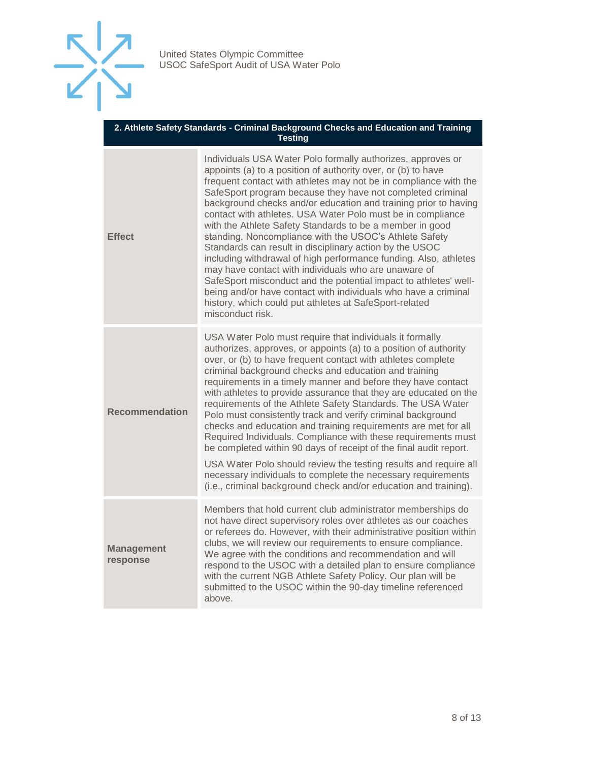

#### **2. Athlete Safety Standards - Criminal Background Checks and Education and Training Testing**

| <b>Effect</b>                 | Individuals USA Water Polo formally authorizes, approves or<br>appoints (a) to a position of authority over, or (b) to have<br>frequent contact with athletes may not be in compliance with the<br>SafeSport program because they have not completed criminal<br>background checks and/or education and training prior to having<br>contact with athletes. USA Water Polo must be in compliance<br>with the Athlete Safety Standards to be a member in good<br>standing. Noncompliance with the USOC's Athlete Safety<br>Standards can result in disciplinary action by the USOC<br>including withdrawal of high performance funding. Also, athletes<br>may have contact with individuals who are unaware of<br>SafeSport misconduct and the potential impact to athletes' well-<br>being and/or have contact with individuals who have a criminal<br>history, which could put athletes at SafeSport-related<br>misconduct risk.        |
|-------------------------------|-----------------------------------------------------------------------------------------------------------------------------------------------------------------------------------------------------------------------------------------------------------------------------------------------------------------------------------------------------------------------------------------------------------------------------------------------------------------------------------------------------------------------------------------------------------------------------------------------------------------------------------------------------------------------------------------------------------------------------------------------------------------------------------------------------------------------------------------------------------------------------------------------------------------------------------------|
| <b>Recommendation</b>         | USA Water Polo must require that individuals it formally<br>authorizes, approves, or appoints (a) to a position of authority<br>over, or (b) to have frequent contact with athletes complete<br>criminal background checks and education and training<br>requirements in a timely manner and before they have contact<br>with athletes to provide assurance that they are educated on the<br>requirements of the Athlete Safety Standards. The USA Water<br>Polo must consistently track and verify criminal background<br>checks and education and training requirements are met for all<br>Required Individuals. Compliance with these requirements must<br>be completed within 90 days of receipt of the final audit report.<br>USA Water Polo should review the testing results and require all<br>necessary individuals to complete the necessary requirements<br>(i.e., criminal background check and/or education and training). |
| <b>Management</b><br>response | Members that hold current club administrator memberships do<br>not have direct supervisory roles over athletes as our coaches<br>or referees do. However, with their administrative position within<br>clubs, we will review our requirements to ensure compliance.<br>We agree with the conditions and recommendation and will<br>respond to the USOC with a detailed plan to ensure compliance<br>with the current NGB Athlete Safety Policy. Our plan will be<br>submitted to the USOC within the 90-day timeline referenced<br>above.                                                                                                                                                                                                                                                                                                                                                                                               |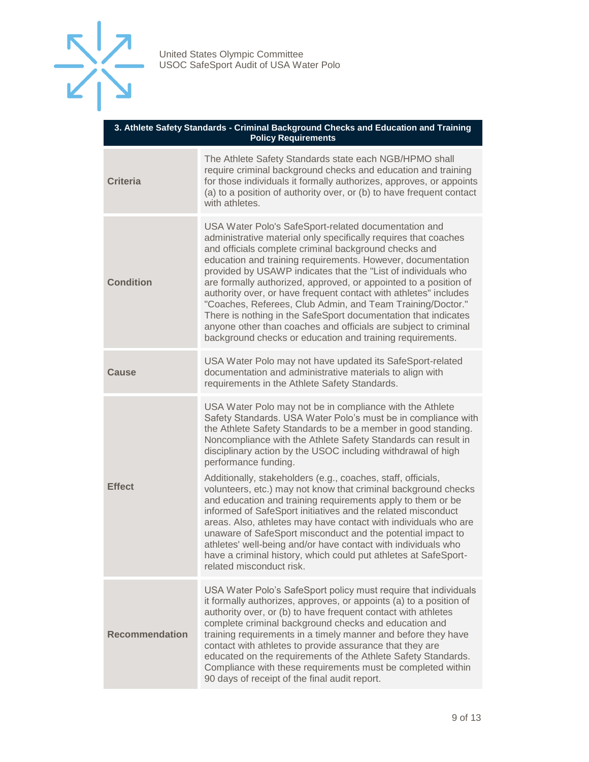

| 3. Athlete Safety Standards - Criminal Background Checks and Education and Training<br><b>Policy Requirements</b> |                                                                                                                                                                                                                                                                                                                                                                                                                                                                                                                                                                                                                                                                                                                          |  |
|-------------------------------------------------------------------------------------------------------------------|--------------------------------------------------------------------------------------------------------------------------------------------------------------------------------------------------------------------------------------------------------------------------------------------------------------------------------------------------------------------------------------------------------------------------------------------------------------------------------------------------------------------------------------------------------------------------------------------------------------------------------------------------------------------------------------------------------------------------|--|
| <b>Criteria</b>                                                                                                   | The Athlete Safety Standards state each NGB/HPMO shall<br>require criminal background checks and education and training<br>for those individuals it formally authorizes, approves, or appoints<br>(a) to a position of authority over, or (b) to have frequent contact<br>with athletes.                                                                                                                                                                                                                                                                                                                                                                                                                                 |  |
| <b>Condition</b>                                                                                                  | USA Water Polo's SafeSport-related documentation and<br>administrative material only specifically requires that coaches<br>and officials complete criminal background checks and<br>education and training requirements. However, documentation<br>provided by USAWP indicates that the "List of individuals who<br>are formally authorized, approved, or appointed to a position of<br>authority over, or have frequent contact with athletes" includes<br>"Coaches, Referees, Club Admin, and Team Training/Doctor."<br>There is nothing in the SafeSport documentation that indicates<br>anyone other than coaches and officials are subject to criminal<br>background checks or education and training requirements. |  |
| Cause                                                                                                             | USA Water Polo may not have updated its SafeSport-related<br>documentation and administrative materials to align with<br>requirements in the Athlete Safety Standards.                                                                                                                                                                                                                                                                                                                                                                                                                                                                                                                                                   |  |
| <b>Effect</b>                                                                                                     | USA Water Polo may not be in compliance with the Athlete<br>Safety Standards. USA Water Polo's must be in compliance with<br>the Athlete Safety Standards to be a member in good standing.<br>Noncompliance with the Athlete Safety Standards can result in<br>disciplinary action by the USOC including withdrawal of high<br>performance funding.                                                                                                                                                                                                                                                                                                                                                                      |  |
|                                                                                                                   | Additionally, stakeholders (e.g., coaches, staff, officials,<br>volunteers, etc.) may not know that criminal background checks<br>and education and training requirements apply to them or be<br>informed of SafeSport initiatives and the related misconduct<br>areas. Also, athletes may have contact with individuals who are<br>unaware of SafeSport misconduct and the potential impact to<br>athletes' well-being and/or have contact with individuals who<br>have a criminal history, which could put athletes at SafeSport-<br>related misconduct risk.                                                                                                                                                          |  |
| <b>Recommendation</b>                                                                                             | USA Water Polo's SafeSport policy must require that individuals<br>it formally authorizes, approves, or appoints (a) to a position of<br>authority over, or (b) to have frequent contact with athletes<br>complete criminal background checks and education and<br>training requirements in a timely manner and before they have<br>contact with athletes to provide assurance that they are<br>educated on the requirements of the Athlete Safety Standards.<br>Compliance with these requirements must be completed within<br>90 days of receipt of the final audit report.                                                                                                                                            |  |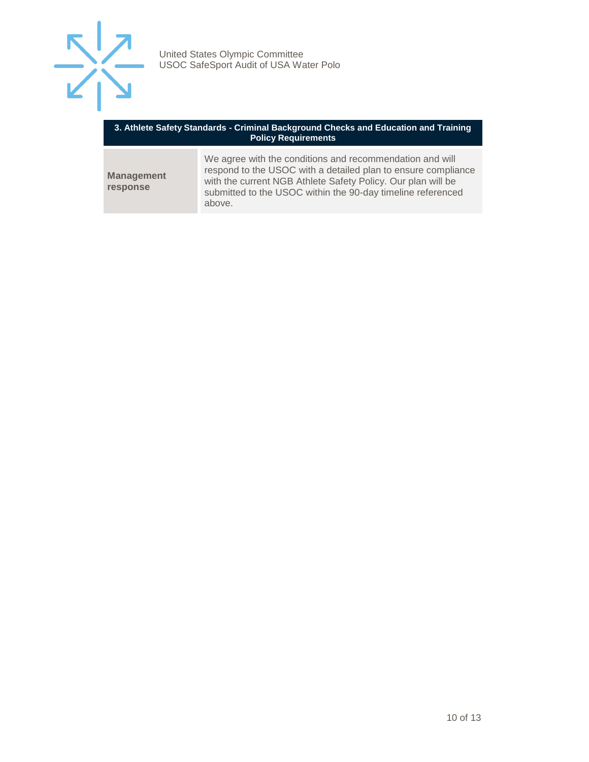

| 3. Athlete Safety Standards - Criminal Background Checks and Education and Training<br><b>Policy Requirements</b> |                                                                                                                                                                                                                                                                    |  |
|-------------------------------------------------------------------------------------------------------------------|--------------------------------------------------------------------------------------------------------------------------------------------------------------------------------------------------------------------------------------------------------------------|--|
| <b>Management</b><br>response                                                                                     | We agree with the conditions and recommendation and will<br>respond to the USOC with a detailed plan to ensure compliance<br>with the current NGB Athlete Safety Policy. Our plan will be<br>submitted to the USOC within the 90-day timeline referenced<br>above. |  |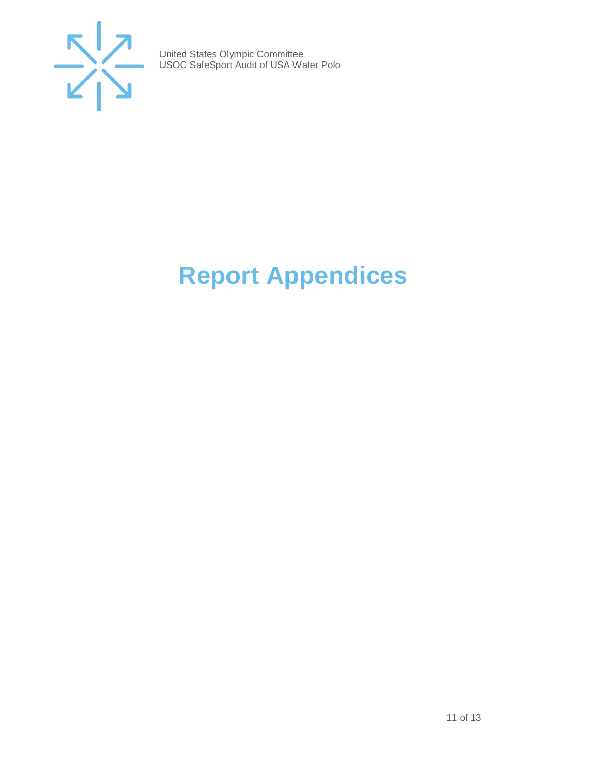

# <span id="page-10-0"></span>**Report Appendices**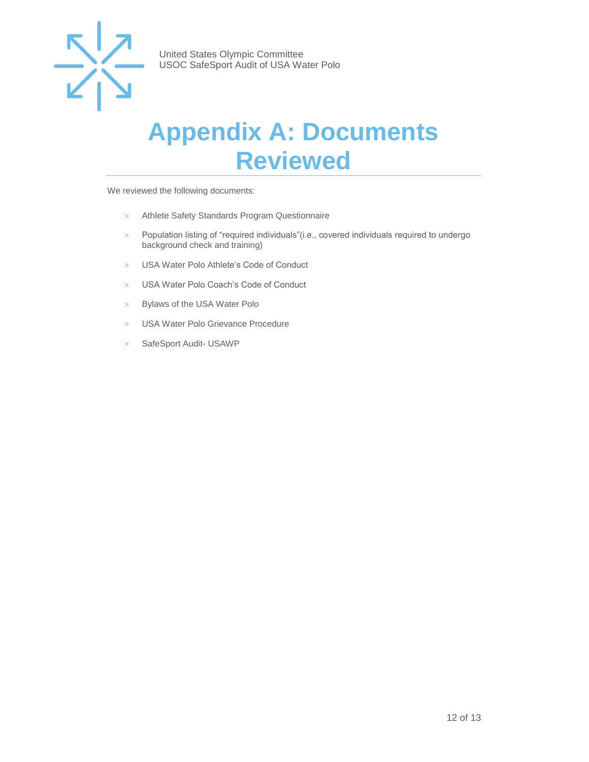

### <span id="page-11-0"></span>**Appendix A: Documents Reviewed**

We reviewed the following documents:

- > Athlete Safety Standards Program Questionnaire
- > Population listing of "required individuals"(i.e., covered individuals required to undergo background check and training)
- > USA Water Polo Athlete's Code of Conduct
- > USA Water Polo Coach's Code of Conduct
- > Bylaws of the USA Water Polo
- > USA Water Polo Grievance Procedure
- > SafeSport Audit- USAWP